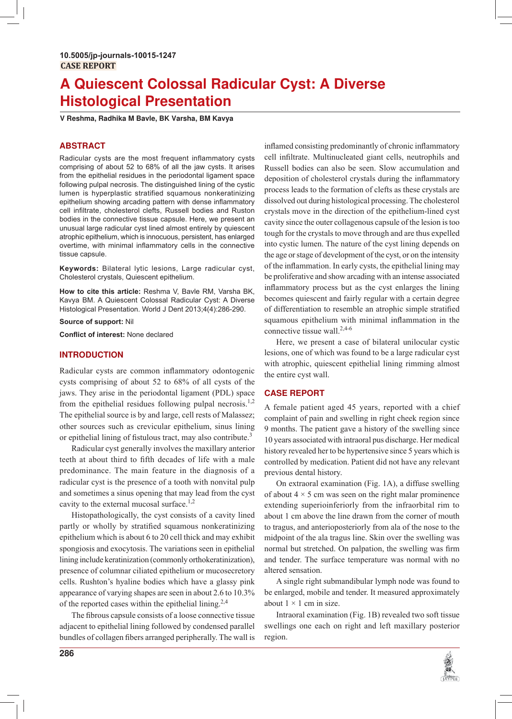# A Quiescent Colossal Radicular Cyst: A Diverse **Histological Presentation**

V Reshma, Radhika M Bavle, BK Varsha, BM Kavya

# **ABSTRACT**

Radicular cysts are the most frequent inflammatory cysts comprising of about 52 to 68% of all the jaw cysts. It arises from the epithelial residues in the periodontal ligament space following pulpal necrosis. The distinguished lining of the cystic lumen is hyperplastic stratified squamous nonkeratinizing epithelium showing arcading pattern with dense inflammatory cell infiltrate, cholesterol clefts, Russell bodies and Ruston bodies in the connective tissue capsule. Here, we present an unusual large radicular cyst lined almost entirely by quiescent atrophic epithelium, which is innocuous, persistent, has enlarged overtime, with minimal inflammatory cells in the connective tissue capsule.

Keywords: Bilateral lytic lesions, Large radicular cyst, Cholesterol crystals, Quiescent epithelium.

How to cite this article: Reshma V, Bavle RM, Varsha BK, Kavya BM. A Quiescent Colossal Radicular Cyst: A Diverse Histological Presentation. World J Dent 2013;4(4):286-290.

Source of support: Nil

Conflict of interest: None declared

# **INTRODUCTION**

Radicular cysts are common inflammatory odontogenic cysts comprising of about 52 to 68% of all cysts of the jaws. They arise in the periodontal ligament (PDL) space from the epithelial residues following pulpal necrosis.<sup>1,2</sup> The epithelial source is by and large, cell rests of Malassez; other sources such as crevicular epithelium, sinus lining or epithelial lining of fistulous tract, may also contribute.<sup>3</sup>

Radicular cyst generally involves the maxillary anterior teeth at about third to fifth decades of life with a male predominance. The main feature in the diagnosis of a radicular cyst is the presence of a tooth with nonvital pulp and sometimes a sinus opening that may lead from the cyst cavity to the external mucosal surface.<sup>1,2</sup>

Histopathologically, the cyst consists of a cavity lined partly or wholly by stratified squamous nonkeratinizing epithelium which is about 6 to 20 cell thick and may exhibit spongiosis and exocytosis. The variations seen in epithelial lining include keratinization (commonly orthokeratinization), presence of columnar ciliated epithelium or mucosecretory cells. Rushton's hyaline bodies which have a glassy pink appearance of varying shapes are seen in about 2.6 to 10.3% of the reported cases within the epithelial lining.<sup>2,4</sup>

The fibrous capsule consists of a loose connective tissue adjacent to epithelial lining followed by condensed parallel bundles of collagen fibers arranged peripherally. The wall is

inflamed consisting predominantly of chronic inflammatory cell infiltrate. Multinucleated giant cells, neutrophils and Russell bodies can also be seen. Slow accumulation and deposition of cholesterol crystals during the inflammatory process leads to the formation of clefts as these crystals are dissolved out during histological processing. The cholesterol crystals move in the direction of the epithelium-lined cyst cavity since the outer collagenous capsule of the lesion is too tough for the crystals to move through and are thus expelled into cystic lumen. The nature of the cyst lining depends on the age or stage of development of the cyst, or on the intensity of the inflammation. In early cysts, the epithelial lining may be proliferative and show arcading with an intense associated inflammatory process but as the cyst enlarges the lining becomes quiescent and fairly regular with a certain degree of differentiation to resemble an atrophic simple stratified squamous epithelium with minimal inflammation in the connective tissue wall. $2,4-6$ 

Here, we present a case of bilateral unilocular cystic lesions, one of which was found to be a large radicular cyst with atrophic, quiescent epithelial lining rimming almost the entire cyst wall.

## **CASE REPORT**

A female patient aged 45 years, reported with a chief complaint of pain and swelling in right cheek region since 9 months. The patient gave a history of the swelling since 10 years associated with intraoral pus discharge. Her medical history revealed her to be hypertensive since 5 years which is controlled by medication. Patient did not have any relevant previous dental history.

On extraoral examination (Fig. 1A), a diffuse swelling of about  $4 \times 5$  cm was seen on the right malar prominence extending superioinferiorly from the infraorbital rim to about 1 cm above the line drawn from the corner of mouth to tragus, and anterioposteriorly from ala of the nose to the midpoint of the ala tragus line. Skin over the swelling was normal but stretched. On palpation, the swelling was firm and tender. The surface temperature was normal with no altered sensation.

A single right submandibular lymph node was found to be enlarged, mobile and tender. It measured approximately about  $1 \times 1$  cm in size.

Intraoral examination (Fig. 1B) revealed two soft tissue swellings one each on right and left maxillary posterior region.

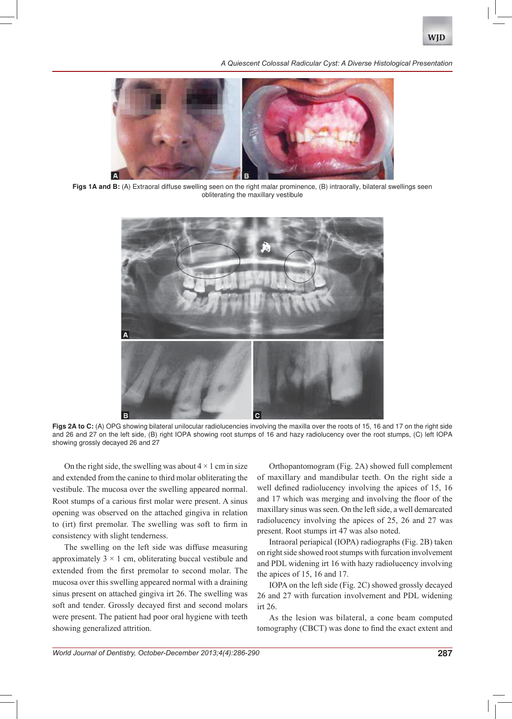

A Quiescent Colossal Radicular Cyst: A Diverse Histological Presentation



Figs 1A and B: (A) Extraoral diffuse swelling seen on the right malar prominence, (B) intraorally, bilateral swellings seen obliterating the maxillary vestibule



Figs 2A to C: (A) OPG showing bilateral unilocular radiolucencies involving the maxilla over the roots of 15, 16 and 17 on the right side and 26 and 27 on the left side, (B) right IOPA showing root stumps of 16 and hazy radiolucency over the root stumps, (C) left IOPA showing grossly decayed 26 and 27

On the right side, the swelling was about  $4 \times 1$  cm in size and extended from the canine to third molar obliterating the vestibule. The mucosa over the swelling appeared normal. Root stumps of a carious first molar were present. A sinus opening was observed on the attached gingiva in relation to (irt) first premolar. The swelling was soft to firm in consistency with slight tenderness.

The swelling on the left side was diffuse measuring approximately  $3 \times 1$  cm, obliterating buccal vestibule and extended from the first premolar to second molar. The mucosa over this swelling appeared normal with a draining sinus present on attached gingiva irt 26. The swelling was soft and tender. Grossly decayed first and second molars were present. The patient had poor oral hygiene with teeth showing generalized attrition.

Orthopantomogram (Fig. 2A) showed full complement of maxillary and mandibular teeth. On the right side a well defined radiolucency involving the apices of 15, 16 and 17 which was merging and involving the floor of the maxillary sinus was seen. On the left side, a well demarcated radiolucency involving the apices of 25, 26 and 27 was present. Root stumps irt 47 was also noted.

Intraoral periapical (IOPA) radiographs (Fig. 2B) taken on right side showed root stumps with furcation involvement and PDL widening irt 16 with hazy radiolucency involving the apices of 15, 16 and 17.

IOPA on the left side (Fig. 2C) showed grossly decayed 26 and 27 with furcation involvement and PDL widening irt 26.

As the lesion was bilateral, a cone beam computed tomography (CBCT) was done to find the exact extent and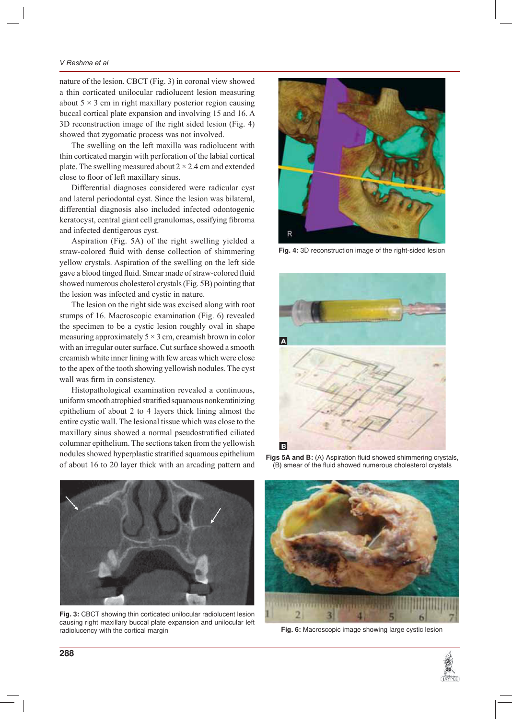### V Reshma et al

nature of the lesion. CBCT (Fig. 3) in coronal view showed a thin corticated unilocular radiolucent lesion measuring about  $5 \times 3$  cm in right maxillary posterior region causing buccal cortical plate expansion and involving 15 and 16. A 3D reconstruction image of the right sided lesion (Fig. 4) showed that zygomatic process was not involved.

The swelling on the left maxilla was radiolucent with thin corticated margin with perforation of the labial cortical plate. The swelling measured about  $2 \times 2.4$  cm and extended close to floor of left maxillary sinus.

Differential diagnoses considered were radicular cyst and lateral periodontal cyst. Since the lesion was bilateral, differential diagnosis also included infected odontogenic keratocyst, central giant cell granulomas, ossifying fibroma and infected dentigerous cyst.

Aspiration (Fig. 5A) of the right swelling yielded a straw-colored fluid with dense collection of shimmering yellow crystals. Aspiration of the swelling on the left side gave a blood tinged fluid. Smear made of straw-colored fluid showed numerous cholesterol crystals (Fig. 5B) pointing that the lesion was infected and cystic in nature.

The lesion on the right side was excised along with root stumps of 16. Macroscopic examination (Fig. 6) revealed the specimen to be a cystic lesion roughly oval in shape measuring approximately  $5 \times 3$  cm, creamish brown in color with an irregular outer surface. Cut surface showed a smooth creamish white inner lining with few areas which were close to the apex of the tooth showing yellowish nodules. The cyst wall was firm in consistency.

Histopathological examination revealed a continuous, uniform smooth atrophied stratified squamous nonkeratinizing epithelium of about 2 to 4 layers thick lining almost the entire cystic wall. The lesional tissue which was close to the maxillary sinus showed a normal pseudostratified ciliated columnar epithelium. The sections taken from the yellowish nodules showed hyperplastic stratified squamous epithelium of about 16 to 20 layer thick with an arcading pattern and



Fig. 4: 3D reconstruction image of the right-sided lesion



Figs 5A and B: (A) Aspiration fluid showed shimmering crystals, (B) smear of the fluid showed numerous cholesterol crystals



Fig. 3: CBCT showing thin corticated unilocular radiolucent lesion causing right maxillary buccal plate expansion and unilocular left radiolucency with the cortical margin



Fig. 6: Macroscopic image showing large cystic lesion

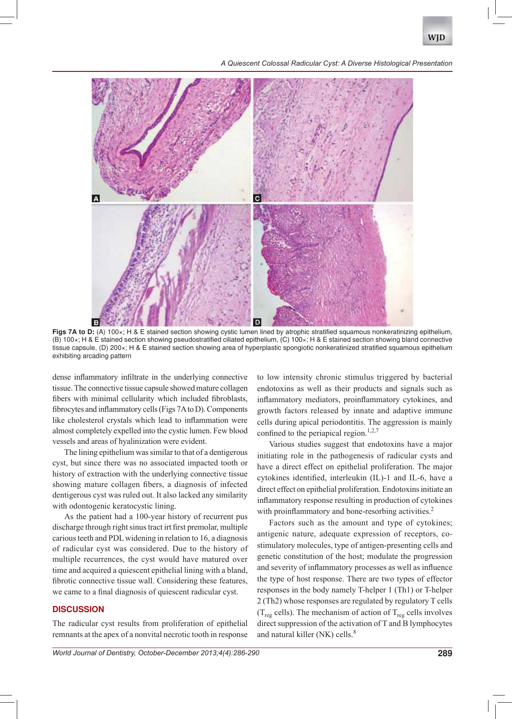

*A Quiescent Colossal Radicular Cyst: A Diverse Histological Presentation*



Figs 7A to D: (A) 100x; H & E stained section showing cystic lumen lined by atrophic stratified squamous nonkeratinizing epithelium, (B) 100×; H & E stained section showing pseudostratified ciliated epithelium, (C) 100×; H & E stained section showing bland connective tissue capsule, (D) 200×; H & E stained section showing area of hyperplastic spongiotic nonkeratinized stratified squamous epithelium exhibiting arcading pattern

dense inflammatory infiltrate in the underlying connective tissue. The connective tissue capsule showed mature collagen fibers with minimal cellularity which included fibroblasts, fibrocytes and inflammatory cells (Figs 7A to D). Components like cholesterol crystals which lead to inflammation were almost completely expelled into the cystic lumen. Few blood vessels and areas of hyalinization were evident.

The lining epithelium was similar to that of a dentigerous cyst, but since there was no associated impacted tooth or history of extraction with the underlying connective tissue showing mature collagen fibers, a diagnosis of infected dentigerous cyst was ruled out. It also lacked any similarity with odontogenic keratocystic lining.

As the patient had a 100-year history of recurrent pus discharge through right sinus tract irt first premolar, multiple carious teeth and PDL widening in relation to 16, a diagnosis of radicular cyst was considered. Due to the history of multiple recurrences, the cyst would have matured over time and acquired a quiescent epithelial lining with a bland, fibrotic connective tissue wall. Considering these features, we came to a final diagnosis of quiescent radicular cyst.

# **DISCUSSION**

The radicular cyst results from proliferation of epithelial remnants at the apex of a nonvital necrotic tooth in response to low intensity chronic stimulus triggered by bacterial endotoxins as well as their products and signals such as inflammatory mediators, proinflammatory cytokines, and growth factors released by innate and adaptive immune cells during apical periodontitis. The aggression is mainly confined to the periapical region.<sup>1,2,7</sup>

Various studies suggest that endotoxins have a major initiating role in the pathogenesis of radicular cysts and have a direct effect on epithelial proliferation. The major cytokines identified, interleukin (IL)-1 and IL-6, have a direct effect on epithelial proliferation. Endotoxins initiate an inflammatory response resulting in production of cytokines with proinflammatory and bone-resorbing activities.<sup>2</sup>

Factors such as the amount and type of cytokines; antigenic nature, adequate expression of receptors, costimulatory molecules, type of antigen-presenting cells and genetic constitution of the host; modulate the progression and severity of inflammatory processes as well as influence the type of host response. There are two types of effector responses in the body namely T-helper 1 (Th1) or T-helper  $2$  (Th2) whose responses are regulated by regulatory T cells  $(T_{\text{reg}}$  cells). The mechanism of action of  $T_{\text{reg}}$  cells involves direct suppression of the activation of  $T$  and  $B$  lymphocytes and natural killer (NK) cells. $8$ 

*World Journal of Dentistry, October-December 2013;4(4):286-290* **289**